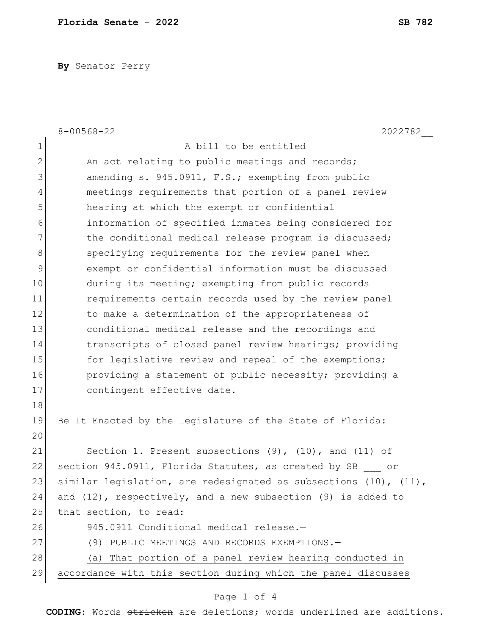**By** Senator Perry

|                | $8 - 00568 - 22$<br>2022782                                            |
|----------------|------------------------------------------------------------------------|
| $\mathbf 1$    | A bill to be entitled                                                  |
| $\overline{2}$ | An act relating to public meetings and records;                        |
| 3              | amending s. 945.0911, F.S.; exempting from public                      |
| 4              | meetings requirements that portion of a panel review                   |
| 5              | hearing at which the exempt or confidential                            |
| 6              | information of specified inmates being considered for                  |
| 7              | the conditional medical release program is discussed;                  |
| 8              | specifying requirements for the review panel when                      |
| 9              | exempt or confidential information must be discussed                   |
| 10             | during its meeting; exempting from public records                      |
| 11             | requirements certain records used by the review panel                  |
| 12             | to make a determination of the appropriateness of                      |
| 13             | conditional medical release and the recordings and                     |
| 14             | transcripts of closed panel review hearings; providing                 |
| 15             | for legislative review and repeal of the exemptions;                   |
| 16             | providing a statement of public necessity; providing a                 |
| 17             | contingent effective date.                                             |
| 18             |                                                                        |
| 19             | Be It Enacted by the Legislature of the State of Florida:              |
| 20             |                                                                        |
| 21             | Section 1. Present subsections $(9)$ , $(10)$ , and $(11)$ of          |
| 22             | section 945.0911, Florida Statutes, as created by SB<br>ОĽ             |
| 23             | similar legislation, are redesignated as subsections $(10)$ , $(11)$ , |
| 24             | and $(12)$ , respectively, and a new subsection $(9)$ is added to      |
| 25             | that section, to read:                                                 |
| 26             | 945.0911 Conditional medical release.-                                 |
| 27             | (9) PUBLIC MEETINGS AND RECORDS EXEMPTIONS.-                           |
| 28             | (a) That portion of a panel review hearing conducted in                |
| 29             | accordance with this section during which the panel discusses          |

## Page 1 of 4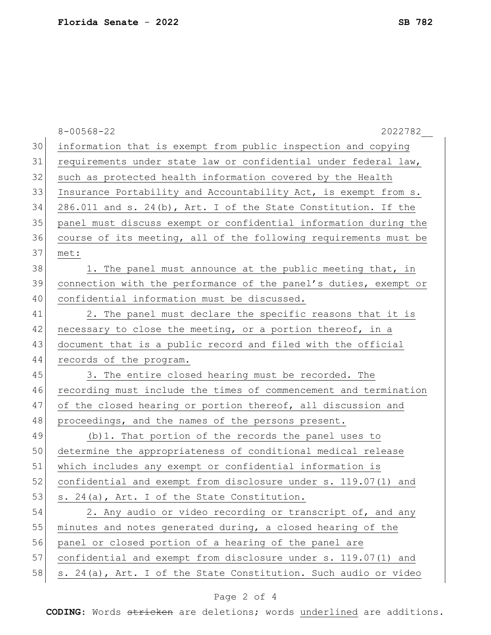|    | $8 - 00568 - 22$<br>2022782                                      |
|----|------------------------------------------------------------------|
| 30 | information that is exempt from public inspection and copying    |
| 31 | requirements under state law or confidential under federal law,  |
| 32 | such as protected health information covered by the Health       |
| 33 | Insurance Portability and Accountability Act, is exempt from s.  |
| 34 | 286.011 and s. 24(b), Art. I of the State Constitution. If the   |
| 35 | panel must discuss exempt or confidential information during the |
| 36 | course of its meeting, all of the following requirements must be |
| 37 | met:                                                             |
| 38 | 1. The panel must announce at the public meeting that, in        |
| 39 | connection with the performance of the panel's duties, exempt or |
| 40 | confidential information must be discussed.                      |
| 41 | 2. The panel must declare the specific reasons that it is        |
| 42 | necessary to close the meeting, or a portion thereof, in a       |
| 43 | document that is a public record and filed with the official     |
| 44 | records of the program.                                          |
| 45 | 3. The entire closed hearing must be recorded. The               |
| 46 | recording must include the times of commencement and termination |
| 47 | of the closed hearing or portion thereof, all discussion and     |
| 48 | proceedings, and the names of the persons present.               |
| 49 | (b) 1. That portion of the records the panel uses to             |
| 50 | determine the appropriateness of conditional medical release     |
| 51 | which includes any exempt or confidential information is         |
| 52 | confidential and exempt from disclosure under s. 119.07(1) and   |
| 53 | s. 24(a), Art. I of the State Constitution.                      |
| 54 | 2. Any audio or video recording or transcript of, and any        |
| 55 | minutes and notes generated during, a closed hearing of the      |
| 56 | panel or closed portion of a hearing of the panel are            |
| 57 | confidential and exempt from disclosure under s. 119.07(1) and   |
| 58 | s. 24(a), Art. I of the State Constitution. Such audio or video  |

## Page 2 of 4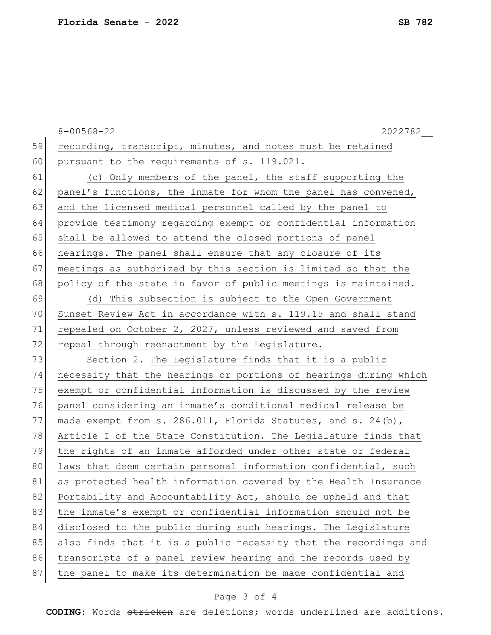|    | $8 - 00568 - 22$<br>2022782                                        |
|----|--------------------------------------------------------------------|
| 59 | recording, transcript, minutes, and notes must be retained         |
| 60 | pursuant to the requirements of s. 119.021.                        |
| 61 | (c) Only members of the panel, the staff supporting the            |
| 62 | panel's functions, the inmate for whom the panel has convened,     |
| 63 | and the licensed medical personnel called by the panel to          |
| 64 | provide testimony regarding exempt or confidential information     |
| 65 | shall be allowed to attend the closed portions of panel            |
| 66 | hearings. The panel shall ensure that any closure of its           |
| 67 | meetings as authorized by this section is limited so that the      |
| 68 | policy of the state in favor of public meetings is maintained.     |
| 69 | (d) This subsection is subject to the Open Government              |
| 70 | Sunset Review Act in accordance with s. 119.15 and shall stand     |
| 71 | repealed on October 2, 2027, unless reviewed and saved from        |
| 72 | repeal through reenactment by the Legislature.                     |
| 73 | Section 2. The Legislature finds that it is a public               |
| 74 | necessity that the hearings or portions of hearings during which   |
| 75 | exempt or confidential information is discussed by the review      |
| 76 | panel considering an inmate's conditional medical release be       |
| 77 | made exempt from s. $286.011$ , Florida Statutes, and s. $24(b)$ , |
| 78 | Article I of the State Constitution. The Legislature finds that    |
| 79 | the rights of an inmate afforded under other state or federal      |
| 80 | laws that deem certain personal information confidential, such     |
| 81 | as protected health information covered by the Health Insurance    |
| 82 | Portability and Accountability Act, should be upheld and that      |
| 83 | the inmate's exempt or confidential information should not be      |
| 84 | disclosed to the public during such hearings. The Legislature      |
| 85 | also finds that it is a public necessity that the recordings and   |
| 86 | transcripts of a panel review hearing and the records used by      |
| 87 | the panel to make its determination be made confidential and       |
|    |                                                                    |

## Page 3 of 4